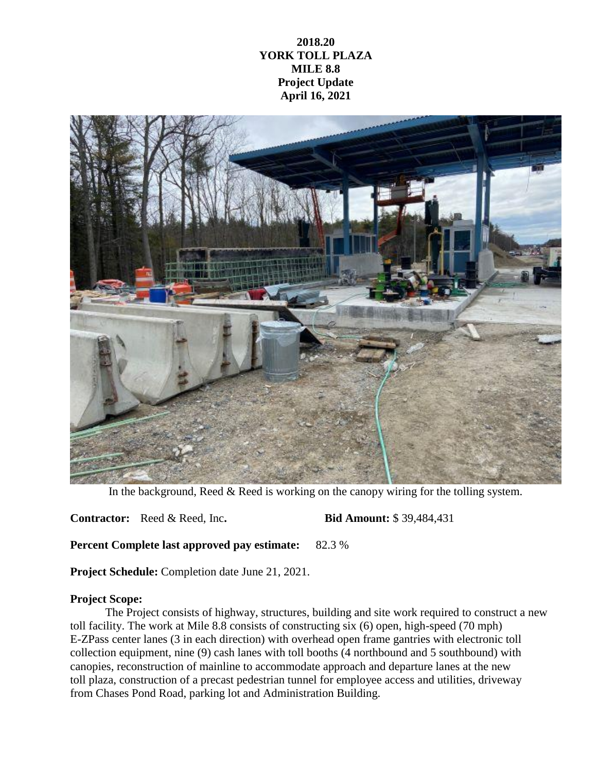## **2018.20 YORK TOLL PLAZA MILE 8.8 Project Update April 16, 2021**



In the background, Reed & Reed is working on the canopy wiring for the tolling system.

**Contractor:** Reed & Reed, Inc**. Bid Amount:** \$ 39,484,431

**Percent Complete last approved pay estimate:** 82.3 %

**Project Schedule:** Completion date June 21, 2021.

## **Project Scope:**

The Project consists of highway, structures, building and site work required to construct a new toll facility. The work at Mile 8.8 consists of constructing six (6) open, high-speed (70 mph) E-ZPass center lanes (3 in each direction) with overhead open frame gantries with electronic toll collection equipment, nine (9) cash lanes with toll booths (4 northbound and 5 southbound) with canopies, reconstruction of mainline to accommodate approach and departure lanes at the new toll plaza, construction of a precast pedestrian tunnel for employee access and utilities, driveway from Chases Pond Road, parking lot and Administration Building.